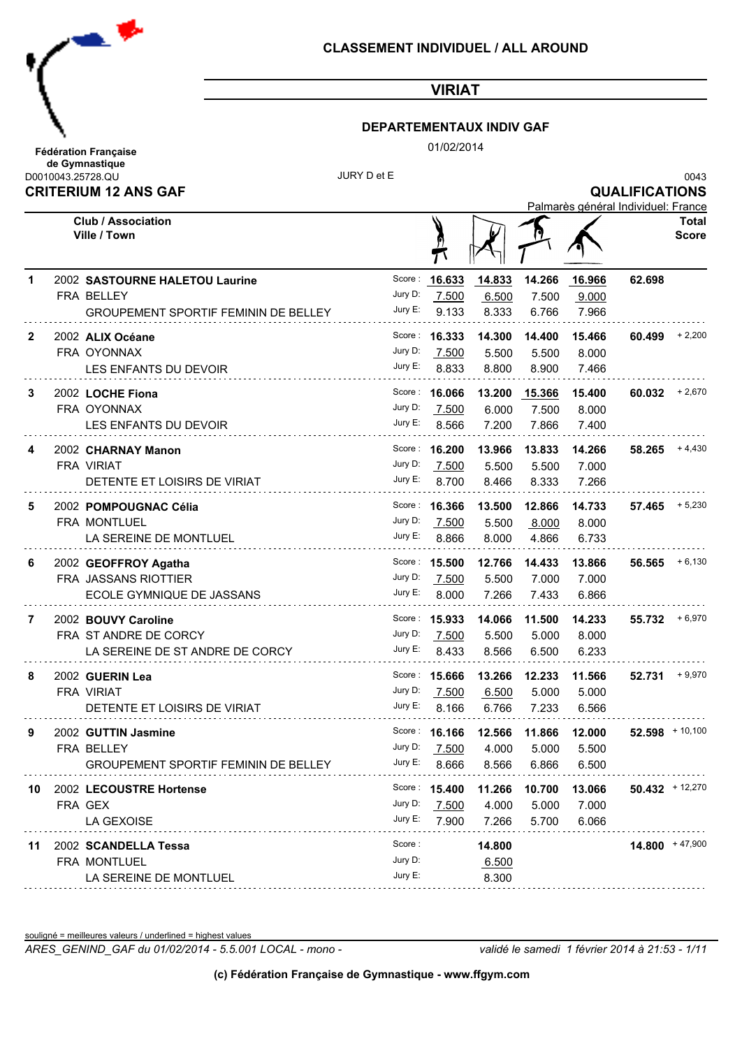

#### **DEPARTEMENTAUX INDIV GAF**

01/02/2014

| <b>Fédération Francaise</b><br>de Gymnastique | 01/02/2014  |                       |
|-----------------------------------------------|-------------|-----------------------|
| D0010043.25728.QU                             | JURY D et E | 0043                  |
| <b>CRITERIUM 12 ANS GAF</b>                   |             | <b>QUALIFICATIONS</b> |
|                                               |             |                       |

Palmarès général Individuel: France **Club / Association Total Ville / Town Score** A  $\mathcal{T}$ Score: **16.633** 1 2002 SASTOURNE HALETOU Laurine 62.698 Jury D: 7.500 7.500 6.500 7.500 9.000 FRA BELLEY GROUPEMENT SPORTIF FEMININ DE BELLEY Jury E: 9.133 8.333 6.766 7.966 9.133 Score: **16.333**  2002 **ALIX Océane 16.333 14.300 14.400 15.466 60.499** + 2,200 **2** Jury D: 7.500 FRA OYONNAX 7.500 5.500 5.500 8.000 Jury E: 8.833 LES ENFANTS DU DEVOIR 8.833 8.800 8.900 7.466 2002 **LOCHE Fiona 16.066 13.200 15.366 15.400 60.032** + 2,670 **3** Score: **16.066** Jury D: 7.500 FRA OYONNAX 7.500 6.000 7.500 8.000 Jury E: 8.566 LES ENFANTS DU DEVOIR 8.566 7.200 7.866 7.400 2002 **CHARNAY Manon 16.200 13.966 13.833 14.266 58.265** + 4,430 **4** Score: **16.200** Jury D: 7.500 FRA VIRIAT 7.500 5.500 5.500 7.000 Jury E: 8.700 DETENTE ET LOISIRS DE VIRIAT 8.700 8.466 8.333 7.266 Score: **16.366**  2002 **POMPOUGNAC Célia 16.366 13.500 12.866 14.733 57.465** + 5,230 **5** Jury D: 7.500 FRA MONTLUEL 7.500 5.500 8.000 8.000 Jury E: 8.866 LA SEREINE DE MONTLUEL 8.866 8.000 4.866 6.733 Score: **15.500 6** 2002 GEOFFROY Agatha **15.500 12.766 14.433 13.866 56.565** +6,130 Jury D: 7.500 7.500 5.500 7.000 7.000 FRA JASSANS RIOTTIER ECOLE GYMNIQUE DE JASSANS UUT UUT UUT UUT UUT UUT UUT UUT LE  $8.000$  8.000 7.266 7.433 6.866 Score: **15.933**  2002 **BOUVY Caroline 15.933 14.066 11.500 14.233 55.732** + 6,970 **7** Jury D: 7.500 FRA ST ANDRE DE CORCY 7.500 5.500 5.000 8.000 LA SEREINE DE ST ANDRE DE CORCY Jury E: 8 433 8.433 8.566 6.500 6.233 **8** 2002 GUERIN Lea **15.666 13.266 13.266 13.266 12.233 11.566 52.731**  $+9.970$ Score: **15,666** Jury D: 7.500 7.500 6.500 5.000 5.000 FRA VIRIAT Jury E: 8.166 DETENTE ET LOISIRS DE VIRIAT 8.166 6.766 7.233 6.566 Score: **16.166**  2002 **GUTTIN Jasmine 16.166 12.566 11.866 12.000 52.598** + 10,100 **9** Jury D: 7.500 7.500 4.000 5.000 5.500 FRA BELLEY GROUPEMENT SPORTIF FEMININ DE BELLEY Jury E: 8.666 8.666 8.566 6.866 6.500 Score: **15.400**  2002 **LECOUSTRE Hortense 15.400 11.266 10.700 13.066 50.432** + 12,270 **10** Jury D: 7.500 FRA GEX 7.500 4.000 5.000 7.000 LA GEXOISE Jury E: 7.900 7.900 7.266 5.700 6.066 Score : 2002 **SCANDELLA Tessa 14.800 14.800** + 47,900 **11** Jury D: FRA MONTLUEL 6.500

souligné = meilleures valeurs / underlined = highest values

LA SEREINE DE MONTLUEL

*ARES\_GENIND\_GAF du 01/02/2014 - 5.5.001 LOCAL - mono - validé le samedi 1 février 2014 à 21:53 - 1/11*

8.300

Jury E: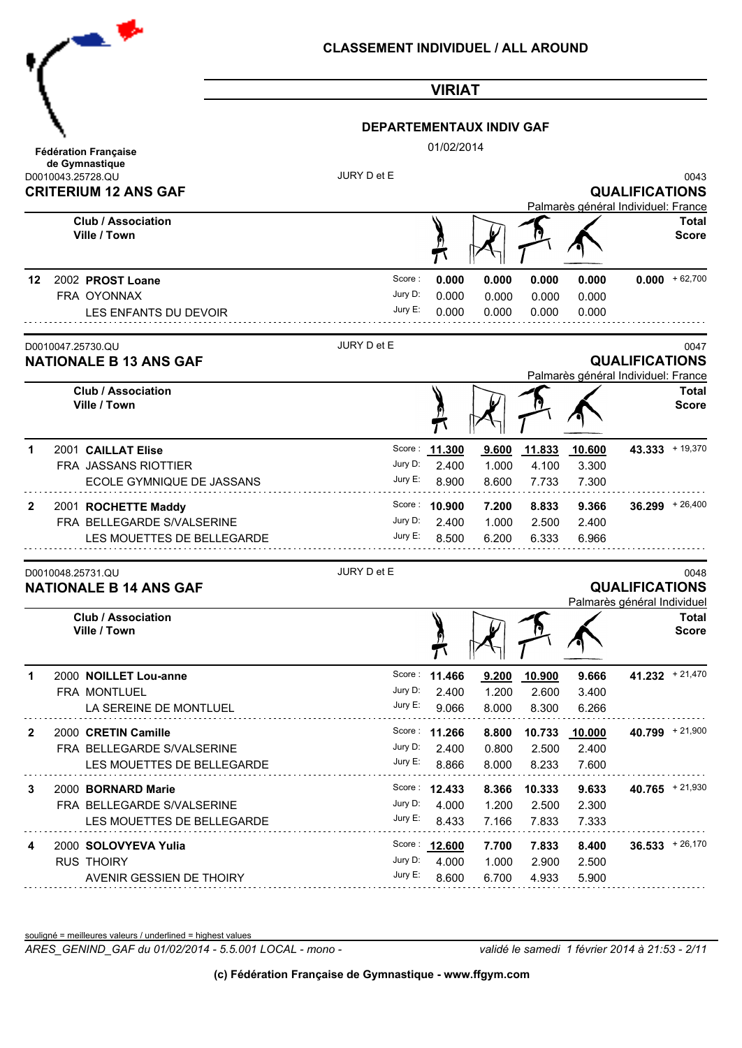| $\bullet$ $\prime$                                                                   | <b>CLASSEMENT INDIVIDUEL / ALL AROUND</b> |                                 |                         |                          |                                     |                                                      |                              |
|--------------------------------------------------------------------------------------|-------------------------------------------|---------------------------------|-------------------------|--------------------------|-------------------------------------|------------------------------------------------------|------------------------------|
|                                                                                      |                                           | <b>VIRIAT</b>                   |                         |                          |                                     |                                                      |                              |
|                                                                                      | <b>DEPARTEMENTAUX INDIV GAF</b>           |                                 |                         |                          |                                     |                                                      |                              |
| <b>Fédération Française</b>                                                          |                                           | 01/02/2014                      |                         |                          |                                     |                                                      |                              |
| de Gymnastique<br>D0010043.25728.QU<br><b>CRITERIUM 12 ANS GAF</b>                   | JURY D et E                               |                                 |                         |                          | Palmarès général Individuel: France | <b>QUALIFICATIONS</b>                                | 0043                         |
| <b>Club / Association</b><br>Ville / Town                                            |                                           |                                 |                         |                          |                                     |                                                      | <b>Total</b><br><b>Score</b> |
| 2002 PROST Loane<br>12<br>FRA OYONNAX<br>LES ENFANTS DU DEVOIR                       | Score:<br>Jury D:<br>Jury E:              | 0.000<br>0.000<br>0.000         | 0.000<br>0.000<br>0.000 | 0.000<br>0.000<br>0.000  | 0.000<br>0.000<br>0.000             |                                                      | $0.000 + 62,700$             |
| D0010047.25730.QU<br><b>NATIONALE B 13 ANS GAF</b>                                   | JURY D et E                               |                                 |                         |                          | Palmarès général Individuel: France | <b>QUALIFICATIONS</b>                                | 0047                         |
| <b>Club / Association</b><br>Ville / Town                                            |                                           |                                 |                         |                          |                                     |                                                      | <b>Total</b><br><b>Score</b> |
| 2001 CAILLAT Elise<br>1<br>FRA JASSANS RIOTTIER<br>ECOLE GYMNIQUE DE JASSANS         | Score:<br>Jury D:<br>Jury E:              | 11.300<br>2.400<br>8.900        | 9.600<br>1.000<br>8.600 | 11.833<br>4.100<br>7.733 | 10.600<br>3.300<br>7.300            |                                                      | 43.333 + 19,370              |
| 2001 ROCHETTE Maddy<br>2<br>FRA BELLEGARDE S/VALSERINE<br>LES MOUETTES DE BELLEGARDE | Jury D:<br>Jury E:                        | Score: 10.900<br>2.400<br>8.500 | 7.200<br>1.000<br>6.200 | 8.833<br>2.500<br>6.333  | 9.366<br>2.400<br>6.966             |                                                      | $36.299 + 26,400$            |
| D0010048.25731.QU<br><b>NATIONALE B 14 ANS GAF</b>                                   | JURY D et E                               |                                 |                         |                          |                                     | <b>QUALIFICATIONS</b><br>Palmarès général Individuel | 0048                         |
| <b>Club / Association</b><br>Ville / Town                                            |                                           |                                 |                         |                          |                                     |                                                      | <b>Total</b><br><b>Score</b> |
| 2000 NOILLET Lou-anne<br>1<br>FRA MONTLUEL<br>LA SEREINE DE MONTLUEL                 | Jury D:<br>Jury E:                        | Score: 11.466<br>2.400<br>9.066 | 9.200<br>1.200<br>8.000 | 10.900<br>2.600<br>8.300 | 9.666<br>3.400<br>6.266             |                                                      | $41.232 + 21,470$            |
| 2000 CRETIN Camille<br>2<br>FRA BELLEGARDE S/VALSERINE<br>LES MOUETTES DE BELLEGARDE | Jury D:<br>Jury E:                        | Score: 11.266<br>2.400<br>8.866 | 8.800<br>0.800<br>8.000 | 10.733<br>2.500<br>8.233 | 10.000<br>2.400<br>7.600            |                                                      | $40.799 + 21,900$            |
| 2000 BORNARD Marie<br>3<br>FRA BELLEGARDE S/VALSERINE<br>LES MOUETTES DE BELLEGARDE  | Jury D:<br>Jury E:                        | Score: 12.433<br>4.000<br>8.433 | 8.366<br>1.200<br>7.166 | 10.333<br>2.500<br>7.833 | 9.633<br>2.300<br>7.333             |                                                      | $40.765$ + 21,930            |
| 2000 SOLOVYEVA Yulia<br>4<br><b>RUS THOIRY</b><br>AVENIR GESSIEN DE THOIRY           | Jury D:<br>Jury E:                        | Score: 12.600<br>4.000<br>8.600 | 7.700<br>1.000<br>6.700 | 7.833<br>2.900<br>4.933  | 8.400<br>2.500<br>5.900             |                                                      | $36.533 + 26,170$            |
|                                                                                      |                                           |                                 |                         |                          |                                     |                                                      |                              |

souligné = meilleures valeurs / underlined = highest values

*ARES\_GENIND\_GAF du 01/02/2014 - 5.5.001 LOCAL - mono - validé le samedi 1 février 2014 à 21:53 - 2/11*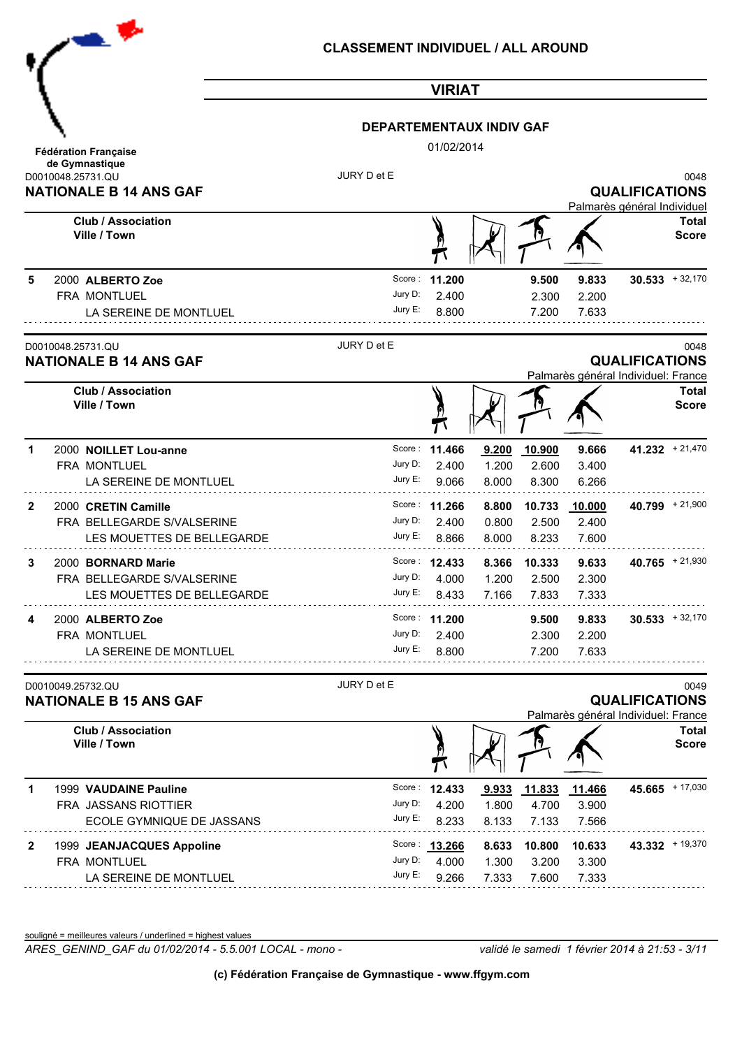|              | $\bullet$                                          | <b>CLASSEMENT INDIVIDUEL / ALL AROUND</b> |                        |                           |                |                |                                                              |                              |
|--------------|----------------------------------------------------|-------------------------------------------|------------------------|---------------------------|----------------|----------------|--------------------------------------------------------------|------------------------------|
|              |                                                    |                                           | <b>VIRIAT</b>          |                           |                |                |                                                              |                              |
|              |                                                    | <b>DEPARTEMENTAUX INDIV GAF</b>           |                        |                           |                |                |                                                              |                              |
|              | <b>Fédération Française</b>                        |                                           | 01/02/2014             |                           |                |                |                                                              |                              |
|              | de Gymnastique<br>D0010048.25731.QU                | JURY D et E                               |                        |                           |                |                |                                                              | 0048                         |
|              | <b>NATIONALE B 14 ANS GAF</b>                      |                                           |                        |                           |                |                | <b>QUALIFICATIONS</b><br>Palmarès général Individuel         |                              |
|              | <b>Club / Association</b><br>Ville / Town          |                                           |                        |                           |                |                |                                                              | <b>Total</b><br><b>Score</b> |
| 5            | 2000 ALBERTO Zoe                                   | Score:                                    | 11.200                 |                           | 9.500          | 9.833          |                                                              | $30.533 + 32,170$            |
|              | FRA MONTLUEL                                       | Jury D:<br>Jury E:                        | 2.400<br>8.800         |                           | 2.300          | 2.200          |                                                              |                              |
|              | LA SEREINE DE MONTLUEL                             |                                           |                        |                           | 7.200          | 7.633          |                                                              |                              |
|              | D0010048.25731.QU<br><b>NATIONALE B 14 ANS GAF</b> | JURY D et E                               |                        |                           |                |                | <b>QUALIFICATIONS</b><br>Palmarès général Individuel: France | 0048                         |
|              | <b>Club / Association</b>                          |                                           |                        |                           |                |                |                                                              | <b>Total</b>                 |
|              | Ville / Town                                       |                                           |                        |                           |                |                |                                                              | <b>Score</b>                 |
| 1            | 2000 NOILLET Lou-anne                              |                                           | Score: 11.466          | 9.200                     | 10.900         | 9.666          | $41.232 + 21,470$                                            |                              |
|              | FRA MONTLUEL<br>LA SEREINE DE MONTLUEL             | Jury D:<br>Jury E:                        | 2.400<br>9.066         | 1.200<br>8.000            | 2.600<br>8.300 | 3.400<br>6.266 |                                                              |                              |
| $\mathbf{2}$ | 2000 CRETIN Camille                                |                                           | Score: 11.266          | 8.800                     | 10.733         | 10.000         | 40.799 + 21,900                                              |                              |
|              | FRA BELLEGARDE S/VALSERINE                         | Jury D:                                   | 2.400                  | 0.800                     | 2.500          | 2.400          |                                                              |                              |
|              | LES MOUETTES DE BELLEGARDE                         | Jury E:                                   | 8.866                  | 8.000                     | 8.233          | 7.600          |                                                              |                              |
| 3            | 2000 BORNARD Marie                                 |                                           | Score: 12.433          |                           | 8.366 10.333   | 9.633          | $40.765$ + 21,930                                            |                              |
|              | FRA BELLEGARDE S/VALSERINE                         | Jury E:                                   |                        | Jury D: 4.000 1.200 2.500 |                | 2.300          |                                                              |                              |
|              | LES MOUETTES DE BELLEGARDE                         |                                           | 8.433                  | 7.166                     | 7.833          | 7.333          |                                                              |                              |
| 4            | 2000 ALBERTO Zoe<br>FRA MONTLUEL                   | Jury D:                                   | Score: 11.200<br>2.400 |                           | 9.500<br>2.300 | 9.833<br>2.200 |                                                              | $30.533 + 32,170$            |
|              | LA SEREINE DE MONTLUEL                             | Jury E:                                   | 8.800                  |                           | 7.200          | 7.633          |                                                              |                              |
|              |                                                    |                                           |                        |                           |                |                |                                                              |                              |
|              | D0010049.25732.QU<br><b>NATIONALE B 15 ANS GAF</b> | JURY D et E                               |                        |                           |                |                | <b>QUALIFICATIONS</b>                                        | 0049                         |
|              | <b>Club / Association</b>                          |                                           |                        |                           |                |                | Palmarès général Individuel: France                          | <b>Total</b>                 |
|              | Ville / Town                                       |                                           |                        |                           |                |                |                                                              | <b>Score</b>                 |
| 1            | 1999 VAUDAINE Pauline                              | Score:                                    | 12.433                 | 9.933                     | 11.833         | 11.466         |                                                              | $45.665$ + 17,030            |
|              | FRA JASSANS RIOTTIER                               | Jury D:<br>Jury E:                        | 4.200                  | 1.800                     | 4.700          | 3.900          |                                                              |                              |
|              | ECOLE GYMNIQUE DE JASSANS                          |                                           | 8.233                  | 8.133                     | 7.133          | 7.566          |                                                              |                              |
| 2            | 1999 JEANJACQUES Appoline                          |                                           | Score: 13.266          | 8.633                     | 10.800         | 10.633         | $43.332 + 19,370$                                            |                              |
|              | FRA MONTLUEL<br>LA SEREINE DE MONTLUEL             | Jury D:<br>Jury E:                        | 4.000<br>9.266         | 1.300<br>7.333            | 3.200<br>7.600 | 3.300<br>7.333 |                                                              |                              |
|              |                                                    |                                           |                        |                           |                |                |                                                              |                              |

souligné = meilleures valeurs / underlined = highest values

*ARES\_GENIND\_GAF du 01/02/2014 - 5.5.001 LOCAL - mono - validé le samedi 1 février 2014 à 21:53 - 3/11*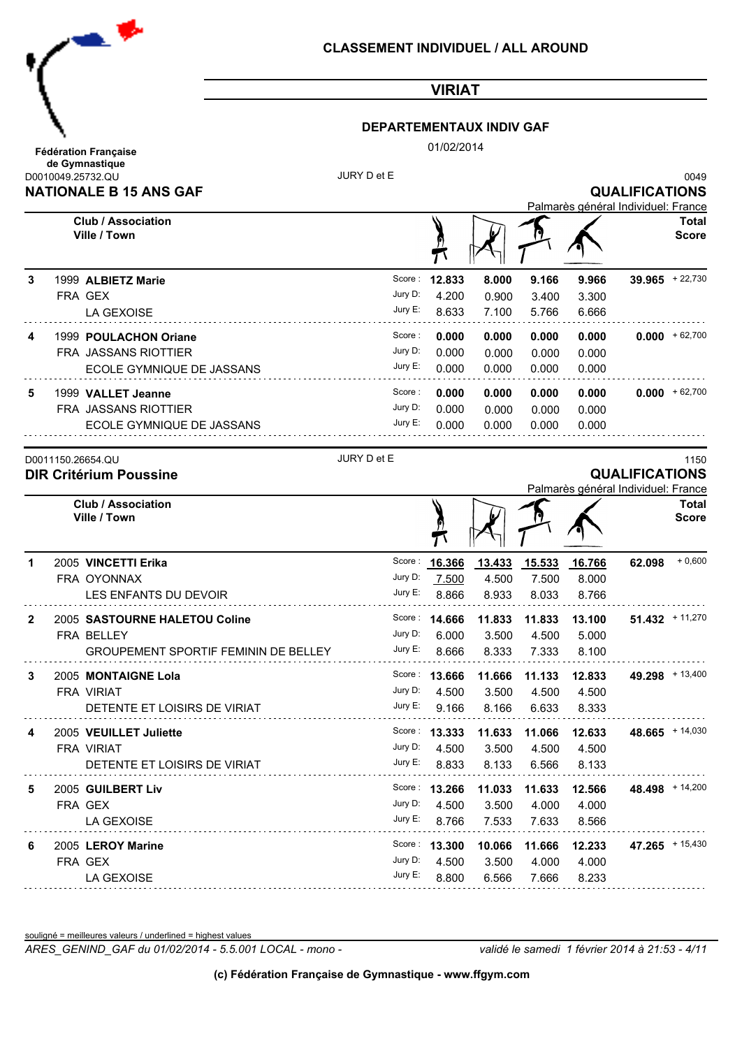

### **DEPARTEMENTAUX INDIV GAF**

01/02/2014

|   | D0010049.25732.QU<br><b>NATIONALE B 15 ANS GAF</b> | JURY D et E |                 |        |                        |                                     | <b>QUALIFICATIONS</b> | 0049                         |
|---|----------------------------------------------------|-------------|-----------------|--------|------------------------|-------------------------------------|-----------------------|------------------------------|
|   | <b>Club / Association</b><br>Ville / Town          |             | <u>n</u>        |        |                        | Palmarès général Individuel: France |                       | Total<br><b>Score</b>        |
| 3 | 1999 ALBIETZ Marie                                 | Score:      | 12.833          | 8.000  | 9.166                  | 9.966                               |                       | $39.965 + 22,730$            |
|   | FRA GEX                                            | Jury D:     | 4.200           | 0.900  | 3.400                  | 3.300                               |                       |                              |
|   | LA GEXOISE                                         | Jury E:     | 8.633           | 7.100  | 5.766                  | 6.666                               |                       |                              |
| 4 | 1999 POULACHON Oriane                              | Score:      | 0.000           | 0.000  | 0.000                  | 0.000                               |                       | $0.000 + 62,700$             |
|   | FRA JASSANS RIOTTIER                               | Jury D:     | 0.000           | 0.000  | 0.000                  | 0.000                               |                       |                              |
|   | ECOLE GYMNIQUE DE JASSANS                          | Jury E:     | 0.000           | 0.000  | 0.000                  | 0.000                               |                       |                              |
| 5 | 1999 VALLET Jeanne                                 | Score:      | 0.000           | 0.000  | 0.000                  | 0.000                               |                       | $0.000 + 62,700$             |
|   | FRA JASSANS RIOTTIER                               | Jury D:     | 0.000           | 0.000  | 0.000                  | 0.000                               |                       |                              |
|   | ECOLE GYMNIQUE DE JASSANS                          | Jury E:     | 0.000           | 0.000  | 0.000                  | 0.000                               |                       |                              |
|   | D0011150.26654.QU<br><b>DIR Critérium Poussine</b> | JURY D et E |                 |        |                        |                                     | <b>QUALIFICATIONS</b> | 1150                         |
|   |                                                    |             |                 |        |                        | Palmarès général Individuel: France |                       |                              |
|   | <b>Club / Association</b><br>Ville / Town          |             |                 |        |                        |                                     |                       | <b>Total</b><br><b>Score</b> |
| 1 | 2005 VINCETTI Erika                                |             | Score: 16.366   | 13.433 | 15.533                 | 16.766                              | 62.098                | $+0,600$                     |
|   | FRA OYONNAX                                        | Jury D:     | 7.500           | 4.500  | 7.500                  | 8.000                               |                       |                              |
|   | LES ENFANTS DU DEVOIR                              | Jury E:     | 8.866           | 8.933  | 8.033                  | 8.766                               |                       |                              |
| 2 | 2005 SASTOURNE HALETOU Coline                      |             | Score: 14.666   | 11.833 | 11.833                 | 13.100                              |                       | $51.432 + 11.270$            |
|   | FRA BELLEY                                         | Jury D:     | 6.000           | 3.500  | 4.500                  | 5.000                               |                       |                              |
|   | <b>GROUPEMENT SPORTIF FEMININ DE BELLEY</b>        | Jury E:     | 8.666           | 8.333  | 7.333                  | 8.100                               |                       |                              |
| 3 | 2005 MONTAIGNE Lola                                |             | Score: 13.666   | 11.666 | 11.133                 | 12.833                              |                       | 49.298 + 13,400              |
|   | <b>FRA VIRIAT</b>                                  | Jury D:     | 4.500           | 3.500  | 4.500                  | 4.500                               |                       |                              |
|   | DETENTE ET LOISIRS DE VIRIAT                       | Jury E:     | 9.166           | 8.166  | 6.633                  | 8.333                               |                       |                              |
| 4 | 2005 VEUILLET Juliette                             |             | Score: $13.333$ |        | 11.633  11.066  12.633 |                                     |                       | $48.665$ + 14,030            |
|   | FRA VIRIAT                                         | Jury D:     | 4.500           | 3.500  | 4.500                  | 4.500                               |                       |                              |
|   | DETENTE ET LOISIRS DE VIRIAT                       | Jury E:     | 8.833           | 8.133  | 6.566                  | 8.133                               |                       |                              |
| 5 | 2005 GUILBERT Liv                                  |             | Score: 13.266   | 11.033 | 11.633                 | 12.566                              |                       | $48.498$ + 14,200            |
|   | FRA GEX                                            | Jury D:     | 4.500           | 3.500  | 4.000                  | 4.000                               |                       |                              |
|   | LA GEXOISE                                         | Jury E:     | 8.766           | 7.533  | 7.633                  | 8.566                               |                       |                              |
| 6 | 2005 LEROY Marine                                  |             | Score: 13.300   | 10.066 | 11.666                 | 12.233                              |                       | 47.265 + 15,430              |
|   | FRA GEX                                            | Jury D:     | 4.500           | 3.500  | 4.000                  | 4.000                               |                       |                              |
|   | LA GEXOISE                                         | Jury E:     | 8.800           | 6.566  | 7.666                  | 8.233                               |                       |                              |

souligné = meilleures valeurs / underlined = highest values

*ARES\_GENIND\_GAF du 01/02/2014 - 5.5.001 LOCAL - mono - validé le samedi 1 février 2014 à 21:53 - 4/11*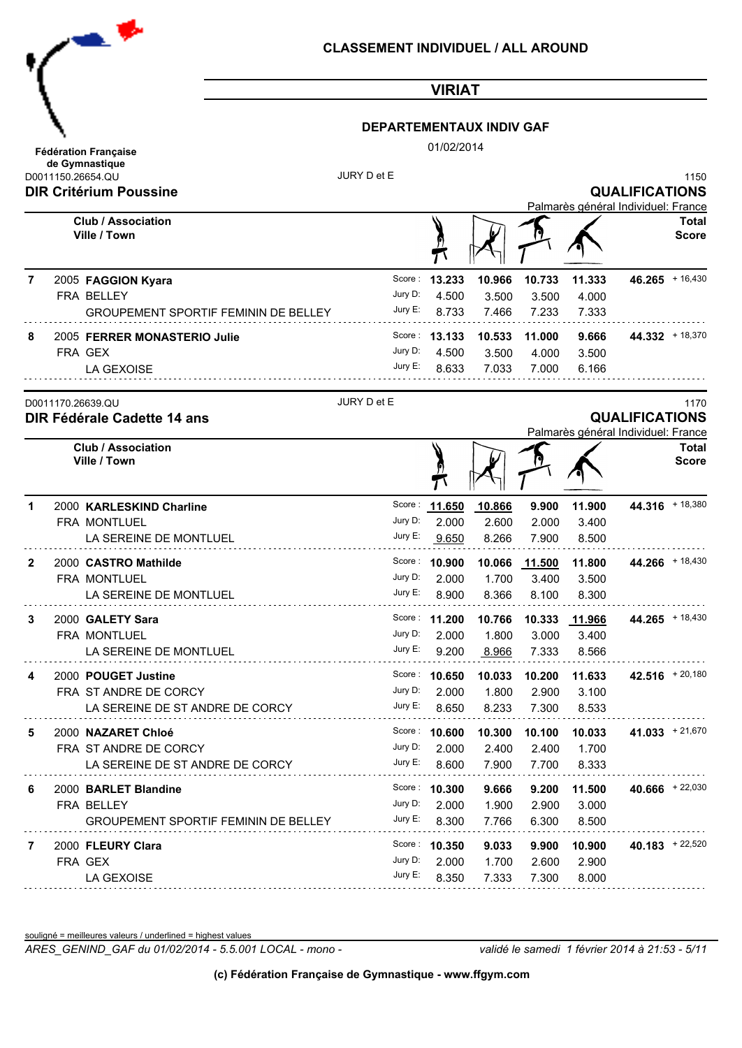| ₹                                             |  |
|-----------------------------------------------|--|
|                                               |  |
|                                               |  |
| <b>Fédération Française</b><br>de Gymnastique |  |

### **DEPARTEMENTAUX INDIV GAF**

01/02/2014

|              | ue Oynmasuque<br>D0011150.26654.QU<br><b>DIR Critérium Poussine</b> | JURY D et E |               |        |                      |                                     | <b>QUALIFICATIONS</b> | 1150                  |
|--------------|---------------------------------------------------------------------|-------------|---------------|--------|----------------------|-------------------------------------|-----------------------|-----------------------|
|              |                                                                     |             |               |        |                      | Palmarès général Individuel: France |                       |                       |
|              | <b>Club / Association</b><br>Ville / Town                           |             |               |        |                      |                                     |                       | Total<br><b>Score</b> |
| 7            | 2005 FAGGION Kyara                                                  | Score:      | 13.233        | 10.966 | 10.733               | 11.333                              | $46.265 + 16,430$     |                       |
|              | FRA BELLEY                                                          | Jury D:     | 4.500         | 3.500  | 3.500                | 4.000                               |                       |                       |
|              | <b>GROUPEMENT SPORTIF FEMININ DE BELLEY</b>                         | Jury E:     | 8.733         | 7.466  | 7.233                | 7.333                               |                       |                       |
| 8            | 2005 FERRER MONASTERIO Julie                                        |             | Score: 13.133 | 10.533 | 11.000               | 9.666                               | $44.332 + 18,370$     |                       |
|              | FRA GEX                                                             | Jury D:     | 4.500         | 3.500  | 4.000                | 3.500                               |                       |                       |
|              | LA GEXOISE                                                          | Jury E:     | 8.633         | 7.033  | 7.000                | 6.166                               |                       |                       |
|              | D0011170.26639.QU<br>DIR Fédérale Cadette 14 ans                    | JURY D et E |               |        |                      | Palmarès général Individuel: France | <b>QUALIFICATIONS</b> | 1170                  |
|              | <b>Club / Association</b><br>Ville / Town                           |             |               |        |                      |                                     |                       | Total<br><b>Score</b> |
| 1            | 2000 KARLESKIND Charline                                            |             | Score: 11.650 | 10.866 | 9.900                | 11.900                              | 44.316 + 18,380       |                       |
|              | FRA MONTLUEL                                                        | Jury D:     | 2.000         | 2.600  | 2.000                | 3.400                               |                       |                       |
|              | LA SEREINE DE MONTLUEL                                              | Jury E:     | 9.650         | 8.266  | 7.900                | 8.500                               |                       |                       |
| $\mathbf{2}$ | 2000 CASTRO Mathilde                                                | Score :     | 10.900        | 10.066 | 11.500               | 11.800                              | 44.266 + 18,430       |                       |
|              | FRA MONTLUEL                                                        | Jury D:     | 2.000         | 1.700  | 3.400                | 3.500                               |                       |                       |
|              | LA SEREINE DE MONTLUEL                                              | Jury E:     | 8.900         | 8.366  | 8.100                | 8.300                               |                       |                       |
| 3            | 2000 GALETY Sara                                                    |             | Score: 11.200 | 10.766 | 10.333               | 11.966                              | 44.265 + 18,430       |                       |
|              | FRA MONTLUEL                                                        | Jury D:     | 2.000         | 1.800  | 3.000                | 3.400                               |                       |                       |
|              | LA SEREINE DE MONTLUEL                                              | Jury E:     | 9.200         | 8.966  | 7.333                | 8.566                               |                       |                       |
| 4            | 2000 POUGET Justine                                                 |             | Score: 10.650 | 10.033 | 10.200               | 11.633                              | $42.516 + 20,180$     |                       |
|              | FRA ST ANDRE DE CORCY                                               | Jury D:     | 2.000         | 1.800  | 2.900                | 3.100                               |                       |                       |
|              | LA SEREINE DE ST ANDRE DE CORCY                                     | Jury E:     | 8.650         | 8.233  | 7.300                | 8.533                               |                       |                       |
| 5            | 2000 NAZARET Chloé                                                  |             | Score: 10.600 |        | 10.300 10.100 10.033 |                                     | $41.033 + 21,670$     |                       |
|              | FRA ST ANDRE DE CORCY                                               | Jury D:     | 2.000         | 2.400  | 2.400                | 1.700                               |                       |                       |
|              | LA SEREINE DE ST ANDRE DE CORCY                                     | Jury E:     | 8.600         | 7.900  | 7.700                | 8.333                               |                       |                       |
| 6            | 2000 BARLET Blandine                                                |             | Score: 10.300 | 9.666  | 9.200                | 11.500                              | 40.666 $+22,030$      |                       |
|              | FRA BELLEY                                                          |             | Jury D: 2.000 | 1.900  | 2.900                | 3.000                               |                       |                       |
|              | <b>GROUPEMENT SPORTIF FEMININ DE BELLEY</b>                         |             | Jury E: 8.300 | 7.766  | 6.300                | 8.500                               |                       |                       |
| 7            | 2000 FLEURY Clara                                                   |             | Score: 10.350 | 9.033  | 9.900                | 10.900                              | $40.183 + 22,520$     |                       |
|              | FRA GEX                                                             | Jury D:     | 2.000         | 1.700  | 2.600                | 2.900                               |                       |                       |
|              | LA GEXOISE                                                          | Jury E:     | 8.350         | 7.333  | 7.300                | 8.000                               |                       |                       |

souligné = meilleures valeurs / underlined = highest values

*ARES\_GENIND\_GAF du 01/02/2014 - 5.5.001 LOCAL - mono - validé le samedi 1 février 2014 à 21:53 - 5/11*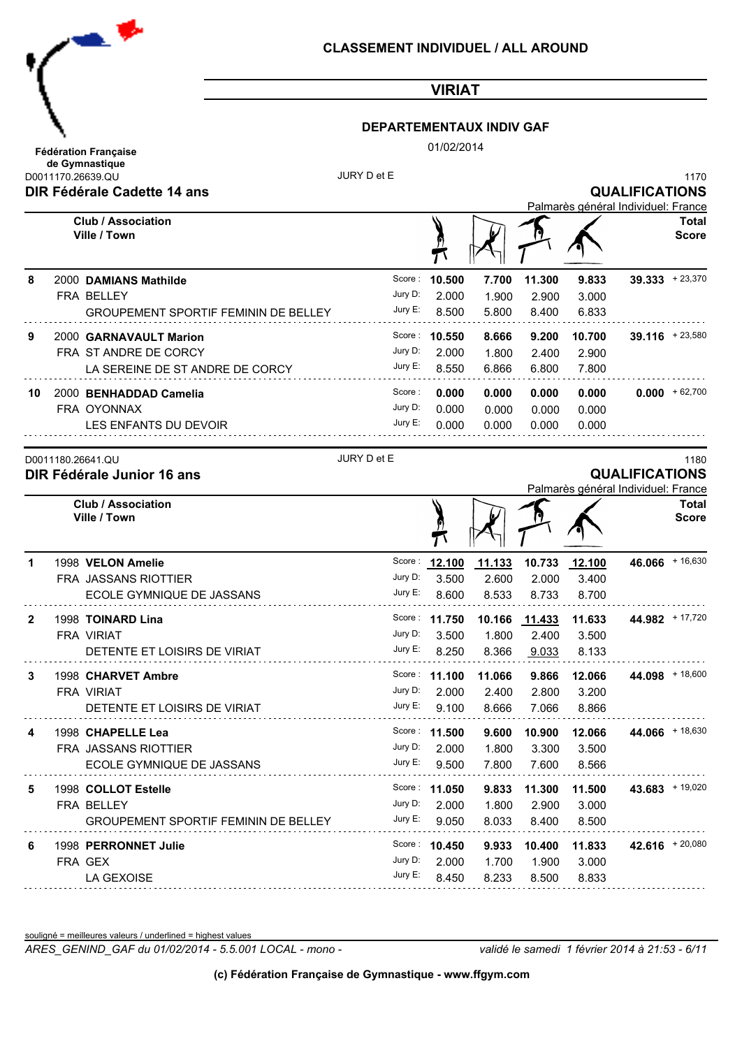

### **DEPARTEMENTAUX INDIV GAF**

01/02/2014

|    | ue Oymnasuque<br>JURY D et E<br>D0011170.26639.QU |         |                 |        |               |                                     |                       | 1170                  |
|----|---------------------------------------------------|---------|-----------------|--------|---------------|-------------------------------------|-----------------------|-----------------------|
|    | DIR Fédérale Cadette 14 ans                       |         |                 |        |               | Palmarès général Individuel: France | <b>QUALIFICATIONS</b> |                       |
|    | <b>Club / Association</b><br>Ville / Town         |         |                 |        |               |                                     |                       | Total<br><b>Score</b> |
| 8  | 2000 DAMIANS Mathilde                             | Score:  | 10.500          | 7.700  | 11.300        | 9.833                               |                       | $39.333 + 23.370$     |
|    | FRA BELLEY                                        | Jury D: | 2.000           | 1.900  | 2.900         | 3.000                               |                       |                       |
|    | <b>GROUPEMENT SPORTIF FEMININ DE BELLEY</b>       | Jury E: | 8.500           | 5.800  | 8.400         | 6.833                               |                       |                       |
| 9  | 2000 GARNAVAULT Marion                            |         | Score: 10.550   | 8.666  | 9.200         | 10.700                              |                       | $39.116 + 23.580$     |
|    | FRA ST ANDRE DE CORCY                             | Jury D: | 2.000           | 1.800  | 2.400         | 2.900                               |                       |                       |
|    | LA SEREINE DE ST ANDRE DE CORCY                   | Jury E: | 8.550           | 6.866  | 6.800         | 7.800                               |                       |                       |
| 10 | 2000 BENHADDAD Camelia                            | Score:  | 0.000           | 0.000  | 0.000         | 0.000                               |                       | $0.000 + 62,700$      |
|    | FRA OYONNAX                                       | Jury D: | 0.000           | 0.000  | 0.000         | 0.000                               |                       |                       |
|    | LES ENFANTS DU DEVOIR                             | Jury E: | 0.000           | 0.000  | 0.000         | 0.000                               |                       |                       |
|    | JURY D et E<br>D0011180.26641.QU                  |         |                 |        |               |                                     |                       | 1180                  |
|    | DIR Fédérale Junior 16 ans                        |         |                 |        |               |                                     | <b>QUALIFICATIONS</b> |                       |
|    | <b>Club / Association</b>                         |         |                 |        |               | Palmarès général Individuel: France |                       | <b>Total</b>          |
|    | Ville / Town                                      |         |                 |        |               |                                     |                       | <b>Score</b>          |
| 1  | 1998 VELON Amelie                                 | Score:  | 12.100          | 11.133 | 10.733        | 12.100                              |                       | 46.066 + 16,630       |
|    | FRA JASSANS RIOTTIER                              | Jury D: | 3.500           | 2.600  | 2.000         | 3.400                               |                       |                       |
|    | ECOLE GYMNIQUE DE JASSANS                         | Jury E: | 8.600           | 8.533  | 8.733         | 8.700                               |                       |                       |
| 2  | 1998 TOINARD Lina                                 |         | Score: 11.750   |        | 10.166 11.433 | 11.633                              |                       | 44.982 + 17,720       |
|    | <b>FRA VIRIAT</b>                                 | Jury D: | 3.500           | 1.800  | 2.400         | 3.500                               |                       |                       |
|    | DETENTE ET LOISIRS DE VIRIAT                      | Jury E: | 8.250           | 8.366  | 9.033         | 8.133                               |                       |                       |
| 3  | 1998 CHARVET Ambre                                |         | Score: 11.100   | 11.066 | 9.866         | 12.066                              |                       | 44.098 + 18,600       |
|    | <b>FRA VIRIAT</b>                                 | Jury D: | 2.000           | 2.400  | 2.800         | 3.200                               |                       |                       |
|    | DETENTE ET LOISIRS DE VIRIAT                      | Jury E: | 9.100           | 8.666  | 7.066         | 8.866                               |                       |                       |
| 4  | 1998 CHAPELLE Lea                                 |         | Score: 11.500   | 9.600  |               | 10.900 12.066                       |                       | 44.066 + 18,630       |
|    | FRA JASSANS RIOTTIER                              |         | Jury D: 2.000   | 1.800  | 3.300         | 3.500                               |                       |                       |
|    | ECOLE GYMNIQUE DE JASSANS                         |         | Jury E: $9.500$ | 7.800  | 7.600         | 8.566                               |                       |                       |
| 5  | 1998 COLLOT Estelle                               |         | Score: 11.050   | 9.833  | 11.300        | 11.500                              |                       | $43.683$ + 19,020     |
|    | FRA BELLEY                                        |         | Jury D: 2.000   | 1.800  | 2.900         | 3.000                               |                       |                       |
|    | <b>GROUPEMENT SPORTIF FEMININ DE BELLEY</b>       |         | Jury E: 9.050   | 8.033  | 8.400         | 8.500                               |                       |                       |
| 6  | 1998 PERRONNET Julie                              |         | Score: 10.450   | 9.933  |               | 10.400 11.833                       |                       | $42.616$ + 20,080     |
|    | FRA GEX                                           | Jury D: | 2.000           | 1.700  | 1.900         | 3.000                               |                       |                       |
|    | LA GEXOISE                                        | Jury E: | 8.450           | 8.233  | 8.500         | 8.833                               |                       |                       |

souligné = meilleures valeurs / underlined = highest values

*ARES\_GENIND\_GAF du 01/02/2014 - 5.5.001 LOCAL - mono - validé le samedi 1 février 2014 à 21:53 - 6/11*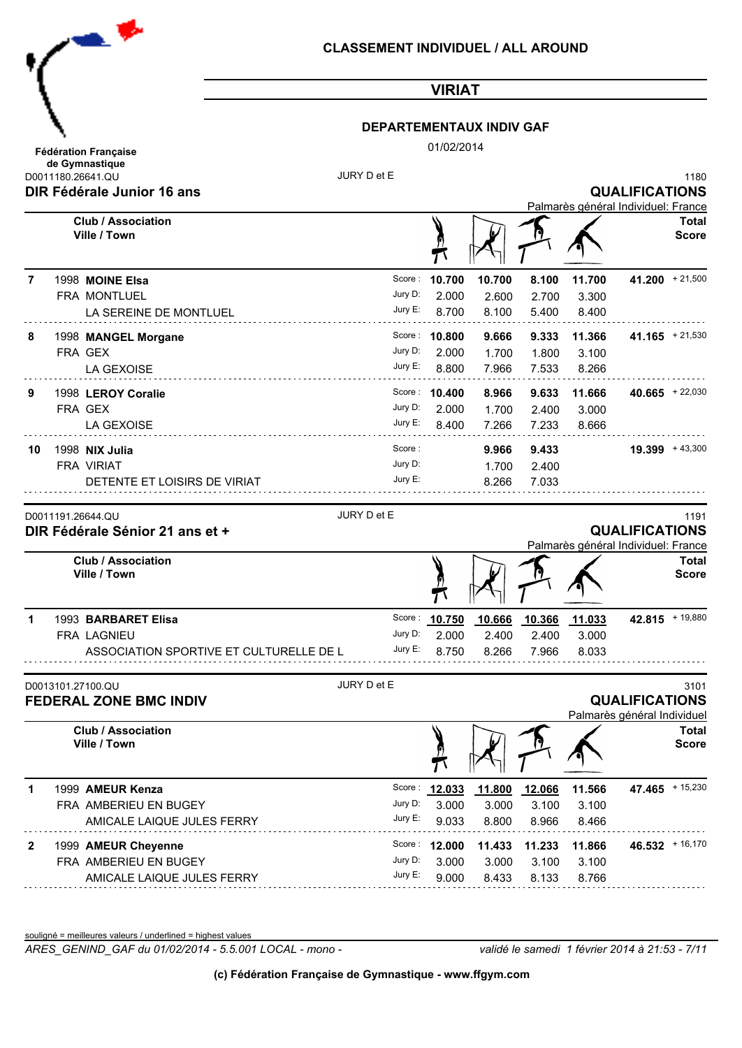

### **DEPARTEMENTAUX INDIV GAF**

01/02/2014

|    | D0011180.26641.QU<br><b>DIR Fédérale Junior 16 ans</b> | JURY D et E        |               |        |        |                                     | <b>QUALIFICATIONS</b>                                | 1180                          |
|----|--------------------------------------------------------|--------------------|---------------|--------|--------|-------------------------------------|------------------------------------------------------|-------------------------------|
|    | <b>Club / Association</b><br>Ville / Town              |                    |               |        |        | Palmarès général Individuel: France |                                                      | <b>Total</b><br><b>Score</b>  |
| 7  | 1998 MOINE Elsa                                        | Score :            | 10.700        | 10.700 | 8.100  | 11.700                              | $41.200 + 21,500$                                    |                               |
|    | FRA MONTLUEL                                           | Jury D:            | 2.000         | 2.600  | 2.700  | 3.300                               |                                                      |                               |
|    | LA SEREINE DE MONTLUEL                                 | Jury E:            | 8.700         | 8.100  | 5.400  | 8.400                               |                                                      |                               |
| 8  | 1998 MANGEL Morgane                                    |                    | Score: 10.800 | 9.666  | 9.333  | 11.366                              | 41.165 $+21,530$                                     |                               |
|    | FRA GEX                                                | Jury D:            | 2.000         | 1.700  | 1.800  | 3.100                               |                                                      |                               |
|    | LA GEXOISE                                             | Jury E:            | 8.800         | 7.966  | 7.533  | 8.266                               |                                                      |                               |
| 9  | 1998 LEROY Coralie                                     |                    | Score: 10.400 | 8.966  | 9.633  | 11.666                              |                                                      | $40.665$ + 22,030             |
|    | FRA GEX                                                | Jury D:            | 2.000         | 1.700  | 2.400  | 3.000                               |                                                      |                               |
|    | LA GEXOISE                                             | Jury E:            | 8.400         | 7.266  | 7.233  | 8.666                               |                                                      |                               |
| 10 | 1998 NIX Julia                                         | Score:             |               | 9.966  | 9.433  |                                     | $19.399 + 43,300$                                    |                               |
|    | FRA VIRIAT                                             | Jury D:            |               | 1.700  | 2.400  |                                     |                                                      |                               |
|    | DETENTE ET LOISIRS DE VIRIAT                           | Jury E:            |               | 8.266  | 7.033  |                                     |                                                      |                               |
|    | <b>Club / Association</b><br>Ville / Town              |                    |               |        |        | Palmarès général Individuel: France |                                                      | <b>Total</b><br><b>Score</b>  |
| 1  | 1993 BARBARET Elisa                                    |                    | Score: 10.750 | 10.666 | 10.366 | 11.033                              | $42.815$ + 19,880                                    |                               |
|    | FRA LAGNIEU                                            | Jury D:            | 2.000         | 2.400  | 2.400  | 3.000                               |                                                      |                               |
|    | ASSOCIATION SPORTIVE ET CULTURELLE DE L                | Jury E:            | 8.750         |        |        |                                     |                                                      |                               |
|    |                                                        |                    |               | 8.266  | 7.966  | 8.033                               |                                                      |                               |
|    | D0013101.27100.QU<br><b>FEDERAL ZONE BMC INDIV</b>     | JURY D et E        | $\mathbf{v}$  |        |        |                                     | <b>QUALIFICATIONS</b><br>Palmarès général Individuel |                               |
|    | <b>Club / Association</b><br>Ville / Town              |                    |               |        |        |                                     |                                                      |                               |
| 1  | 1999 AMEUR Kenza                                       |                    | Score: 12.033 | 11.800 | 12.066 | 11.566                              | $47.465$ + 15,230                                    |                               |
|    | FRA AMBERIEU EN BUGEY                                  | Jury D:            | 3.000         | 3.000  | 3.100  | 3.100                               |                                                      | 3101<br>Total<br><b>Score</b> |
|    | AMICALE LAIQUE JULES FERRY                             | Jury E:            | 9.033         | 8.800  | 8.966  | 8.466                               |                                                      |                               |
| 2  | 1999 AMEUR Cheyenne                                    | Score :            | 12.000        | 11.433 | 11.233 | 11.866                              |                                                      | $46.532 + 16,170$             |
|    | FRA AMBERIEU EN BUGEY                                  | Jury D:<br>Jury E: | 3.000         | 3.000  | 3.100  | 3.100                               |                                                      |                               |

souligné = meilleures valeurs / underlined = highest values

*ARES\_GENIND\_GAF du 01/02/2014 - 5.5.001 LOCAL - mono - validé le samedi 1 février 2014 à 21:53 - 7/11*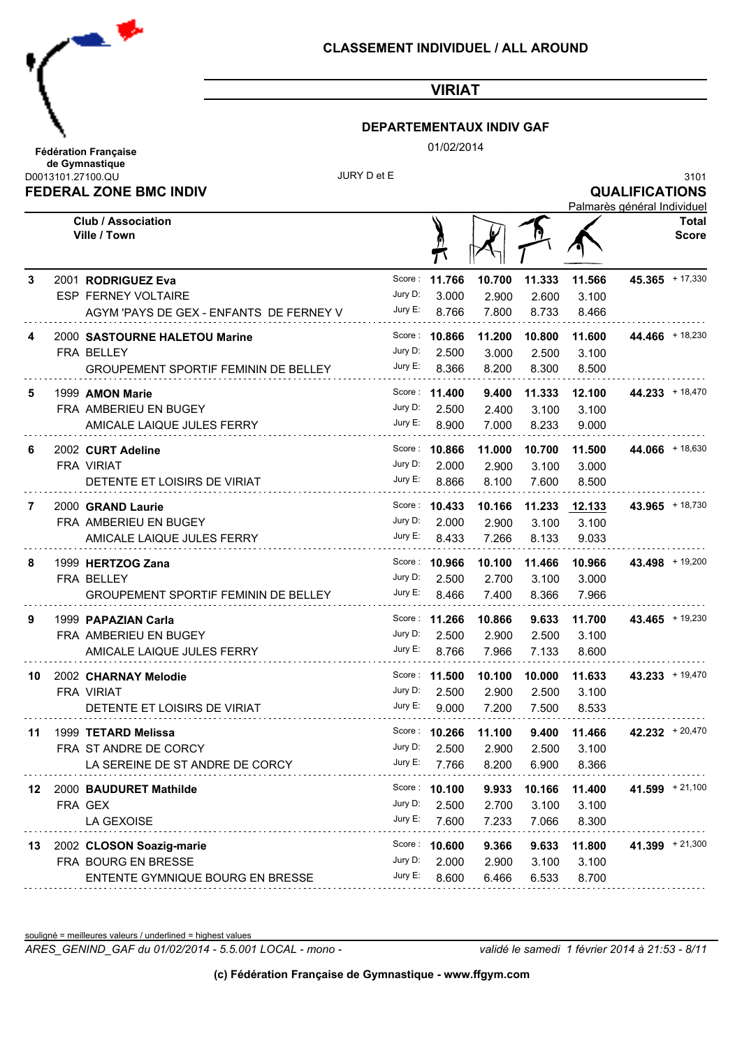

### **DEPARTEMENTAUX INDIV GAF**

01/02/2014

|     | <b>FEDERAL ZONE BMC INDIV</b>                                         |                    |                      |                |                 |                | <b>QUALIFICATIONS</b><br>Palmarès général Individuel |                       |
|-----|-----------------------------------------------------------------------|--------------------|----------------------|----------------|-----------------|----------------|------------------------------------------------------|-----------------------|
|     | <b>Club / Association</b><br>Ville / Town                             |                    |                      |                |                 |                |                                                      | Total<br><b>Score</b> |
| 3   | 2001 RODRIGUEZ Eva                                                    | Score :<br>Jury D: | 11.766<br>3.000      | 10.700         | 11.333<br>2.600 | 11.566         | $45.365$ + 17,330                                    |                       |
|     | <b>ESP FERNEY VOLTAIRE</b><br>AGYM 'PAYS DE GEX - ENFANTS DE FERNEY V | Jury E:            | 8.766                | 2.900<br>7.800 | 8.733           | 3.100<br>8.466 |                                                      |                       |
| 4   | 2000 SASTOURNE HALETOU Marine                                         |                    | Score: 10.866        | 11.200         | 10.800          | 11.600         | 44.466 + 18,230                                      |                       |
|     | FRA BELLEY                                                            | Jury D:            | 2.500                | 3.000          | 2.500           | 3.100          |                                                      |                       |
|     | <b>GROUPEMENT SPORTIF FEMININ DE BELLEY</b>                           | Jury E:            | 8.366                | 8.200          | 8.300           | 8.500          |                                                      |                       |
| 5   | 1999 AMON Marie                                                       |                    | Score: 11.400        | 9.400          | 11.333          | 12.100         | 44.233 + 18,470                                      |                       |
|     | FRA AMBERIEU EN BUGEY                                                 | Jury D:            | 2.500                | 2.400          | 3.100           | 3.100          |                                                      |                       |
|     | AMICALE LAIQUE JULES FERRY                                            | Jury E:            | 8.900                | 7.000          | 8.233           | 9.000          |                                                      |                       |
| 6   | 2002 CURT Adeline                                                     | Score :            | 10.866               | 11.000         | 10.700          | 11.500         | 44.066 + 18,630                                      |                       |
|     | <b>FRA VIRIAT</b>                                                     | Jury D:            | 2.000                | 2.900          | 3.100           | 3.000          |                                                      |                       |
|     | DETENTE ET LOISIRS DE VIRIAT                                          | Jury E:            | 8.866                | 8.100          | 7.600           | 8.500          |                                                      |                       |
| 7   | 2000 GRAND Laurie                                                     |                    | Score: 10.433        | 10.166         | 11.233          | 12.133         | 43.965 + 18,730                                      |                       |
|     | FRA AMBERIEU EN BUGEY                                                 | Jury D:            | 2.000                | 2.900          | 3.100           | 3.100          |                                                      |                       |
|     | AMICALE LAIQUE JULES FERRY                                            | Jury E:            | 8.433                | 7.266          | 8.133           | 9.033          |                                                      |                       |
| 8   | 1999 HERTZOG Zana                                                     |                    | Score: 10.966        | 10.100         | 11.466          | 10.966         | 43.498 + 19,200                                      |                       |
|     | FRA BELLEY                                                            | Jury D:            | 2.500                | 2.700          | 3.100           | 3.000          |                                                      |                       |
|     | <b>GROUPEMENT SPORTIF FEMININ DE BELLEY</b>                           | Jury E:            | 8.466                | 7.400          | 8.366           | 7.966          |                                                      |                       |
| 9   | 1999 PAPAZIAN Carla                                                   |                    | Score: 11.266        | 10.866         | 9.633           | 11.700         |                                                      | 43.465 $+ 19,230$     |
|     | FRA AMBERIEU EN BUGEY                                                 | Jury D:            | 2.500                | 2.900          | 2.500           | 3.100          |                                                      |                       |
|     | AMICALE LAIQUE JULES FERRY                                            | Jury E:            | 8.766                | 7.966          | 7.133           | 8.600          |                                                      |                       |
| 10  | 2002 CHARNAY Melodie                                                  | Score :            | 11.500               | 10.100         | 10.000          | 11.633         | $43.233 + 19,470$                                    |                       |
|     | <b>FRA VIRIAT</b>                                                     | Jury D:            | 2.500                | 2.900          | 2.500           | 3.100          |                                                      |                       |
|     | DETENTE ET LOISIRS DE VIRIAT                                          | Jury E:            | 9.000                | 7.200          | 7.500           | 8.533          |                                                      |                       |
|     | 11 1999 TETARD Melissa                                                |                    | Score: <b>10.266</b> | 11.100         |                 | 9.400 11.466   | $42.232 + 20,470$                                    |                       |
|     | FRA ST ANDRE DE CORCY                                                 | Jury D:            | 2.500                | 2.900          | 2.500           | 3.100          |                                                      |                       |
|     | LA SEREINE DE ST ANDRE DE CORCY                                       | Jury E:            | 7.766                | 8.200          | 6.900           | 8.366          |                                                      |                       |
| 12. | 2000 BAUDURET Mathilde                                                |                    | Score: 10.100        | 9.933          | 10.166          | 11.400         | $41.599 + 21,100$                                    |                       |
|     | FRA GEX                                                               | Jury D:            | 2.500                | 2.700          | 3.100           | 3.100          |                                                      |                       |
|     | LA GEXOISE                                                            | Jury E:            | 7.600                | 7.233          | 7.066           | 8.300          |                                                      |                       |
| 13  | 2002 CLOSON Soazig-marie                                              |                    | Score: 10.600        | 9.366          | 9.633           | 11.800         | $41.399 + 21,300$                                    |                       |
|     | FRA BOURG EN BRESSE                                                   | Jury D:            | 2.000                | 2.900          | 3.100           | 3.100          |                                                      |                       |
|     | ENTENTE GYMNIQUE BOURG EN BRESSE                                      |                    | Jury E: $8.600$      | 6.466          | 6.533           | 8.700          |                                                      |                       |

souligné = meilleures valeurs / underlined = highest values

*ARES\_GENIND\_GAF du 01/02/2014 - 5.5.001 LOCAL - mono - validé le samedi 1 février 2014 à 21:53 - 8/11*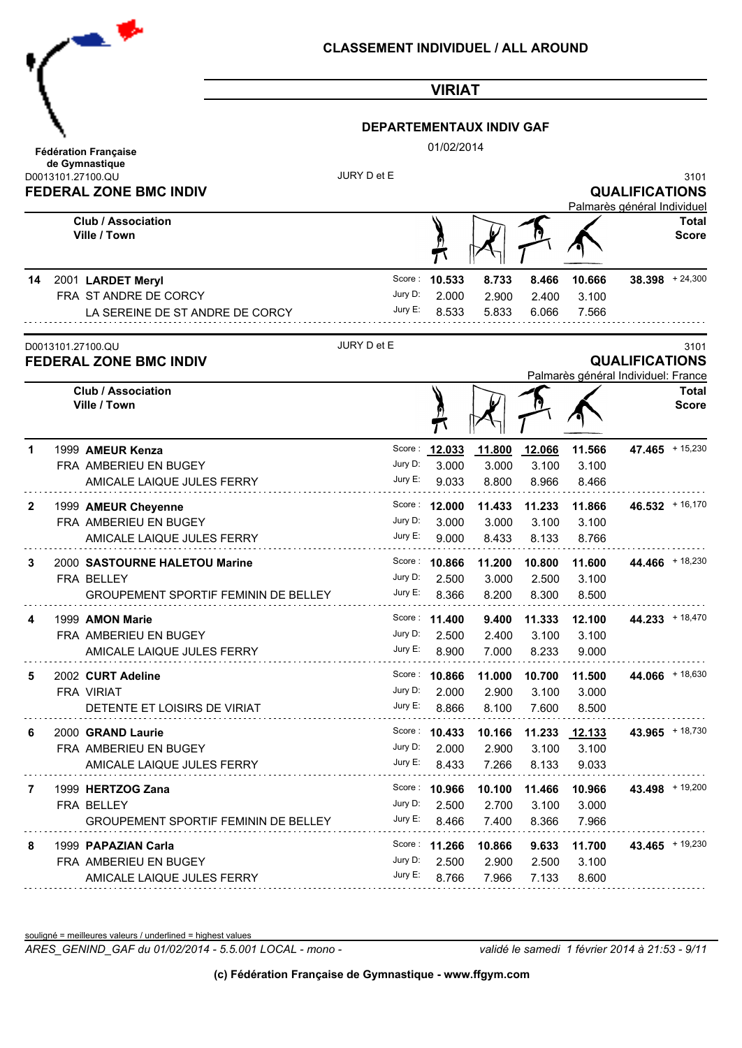|    | 一些                                                                                              | <b>CLASSEMENT INDIVIDUEL / ALL AROUND</b> |                                 |                          |                          |                                        |                                                              |                                      |
|----|-------------------------------------------------------------------------------------------------|-------------------------------------------|---------------------------------|--------------------------|--------------------------|----------------------------------------|--------------------------------------------------------------|--------------------------------------|
|    |                                                                                                 |                                           | <b>VIRIAT</b>                   |                          |                          |                                        |                                                              |                                      |
|    |                                                                                                 | <b>DEPARTEMENTAUX INDIV GAF</b>           |                                 |                          |                          |                                        |                                                              |                                      |
|    | <b>Fédération Française</b>                                                                     |                                           | 01/02/2014                      |                          |                          |                                        |                                                              |                                      |
|    | de Gymnastique<br>D0013101.27100.QU<br><b>FEDERAL ZONE BMC INDIV</b>                            | JURY D et E                               |                                 |                          |                          |                                        | <b>QUALIFICATIONS</b><br>Palmarès général Individuel         | 3101                                 |
|    | <b>Club / Association</b><br>Ville / Town                                                       |                                           |                                 |                          |                          |                                        |                                                              | Total<br><b>Score</b>                |
| 14 | 2001 LARDET Meryl<br>FRA ST ANDRE DE CORCY<br>LA SEREINE DE ST ANDRE DE CORCY                   | Score:<br>Jury D:<br>Jury E:              | 10.533<br>2.000<br>8.533        | 8.733<br>2.900<br>5.833  | 8.466<br>2.400<br>6.066  | 10.666<br>3.100<br>7.566               |                                                              | $38.398 + 24,300$                    |
|    | D0013101.27100.QU<br><b>FEDERAL ZONE BMC INDIV</b><br><b>Club / Association</b><br>Ville / Town | JURY D et E                               |                                 |                          |                          |                                        | <b>QUALIFICATIONS</b><br>Palmarès général Individuel: France | 3101<br><b>Total</b><br><b>Score</b> |
| 1  | 1999 AMEUR Kenza<br>FRA AMBERIEU EN BUGEY<br>AMICALE LAIQUE JULES FERRY                         | Score:<br>Jury D:<br>Jury E:              | 12.033<br>3.000<br>9.033        | 11.800<br>3.000<br>8.800 | 12.066<br>3.100<br>8.966 | 11.566<br>3.100<br>8.466               | $47.465$ + 15,230                                            |                                      |
| 2  | 1999 AMEUR Cheyenne<br>FRA AMBERIEU EN BUGEY<br>AMICALE LAIQUE JULES FERRY                      | Score:<br>Jury D:<br>Jury E:              | 12.000<br>3.000<br>9.000        | 11.433<br>3.000<br>8.433 | 11.233<br>3.100<br>8.133 | 11.866<br>3.100<br>8.766               |                                                              | $46.532 + 16,170$                    |
| 3  | 2000 SASTOURNE HALETOU Marine<br>FRA BELLEY<br><b>GROUPEMENT SPORTIF FEMININ DE BELLEY</b>      | Jury D:<br>Jury E:                        | Score: 10.866<br>2.500<br>8.366 | 11.200<br>3.000<br>8.200 | 2.500<br>8.300           | 10.800 11.600<br>3.100<br>8.500        |                                                              | 44.466 + 18,230                      |
|    | 1999 AMON Marie<br>FRA AMBERIEU EN BUGEY<br>AMICALE LAIQUE JULES FERRY                          | Jury D:<br>Jury E:                        | Score: 11.400<br>2.500<br>8.900 | 9.400<br>2.400<br>7.000  | 11.333<br>3.100<br>8.233 | 12.100<br>3.100<br>9.000               |                                                              | $44.233 + 18,470$                    |
| 5  | 2002 CURT Adeline<br>FRA VIRIAT<br>DETENTE ET LOISIRS DE VIRIAT                                 | Jury D:<br>Jury E:                        | Score: 10.866<br>2.000<br>8.866 | 11.000<br>2.900<br>8.100 | 10.700<br>3.100<br>7.600 | 11.500<br>3.000<br>8.500               |                                                              | 44.066 + 18,630                      |
| 6  | 2000 GRAND Laurie<br>FRA AMBERIEU EN BUGEY<br>AMICALE LAIQUE JULES FERRY                        | Jury D:<br>Jury E:                        | Score: 10.433<br>2.000<br>8.433 | 10.166<br>2.900<br>7.266 | 3.100<br>8.133           | 11.233 <u>12.133</u><br>3.100<br>9.033 |                                                              | 43.965 + 18,730                      |
| 7  | 1999 HERTZOG Zana<br>FRA BELLEY<br><b>GROUPEMENT SPORTIF FEMININ DE BELLEY</b>                  | Jury D:<br>Jury E:                        | Score: 10.966<br>2.500<br>8.466 | 10.100<br>2.700<br>7.400 | 11.466<br>3.100<br>8.366 | 10.966<br>3.000<br>7.966               |                                                              | 43.498 $+19,200$                     |
| 8  | 1999 PAPAZIAN Carla<br>FRA AMBERIEU EN BUGEY<br>AMICALE LAIQUE JULES FERRY                      | Jury D:<br>Jury E:                        | Score: 11.266<br>2.500<br>8.766 | 10.866<br>2.900<br>7.966 | 9.633<br>2.500<br>7.133  | 11.700<br>3.100<br>8.600               |                                                              | 43.465 $+ 19,230$                    |

souligné = meilleures valeurs / underlined = highest values

*ARES\_GENIND\_GAF du 01/02/2014 - 5.5.001 LOCAL - mono - validé le samedi 1 février 2014 à 21:53 - 9/11*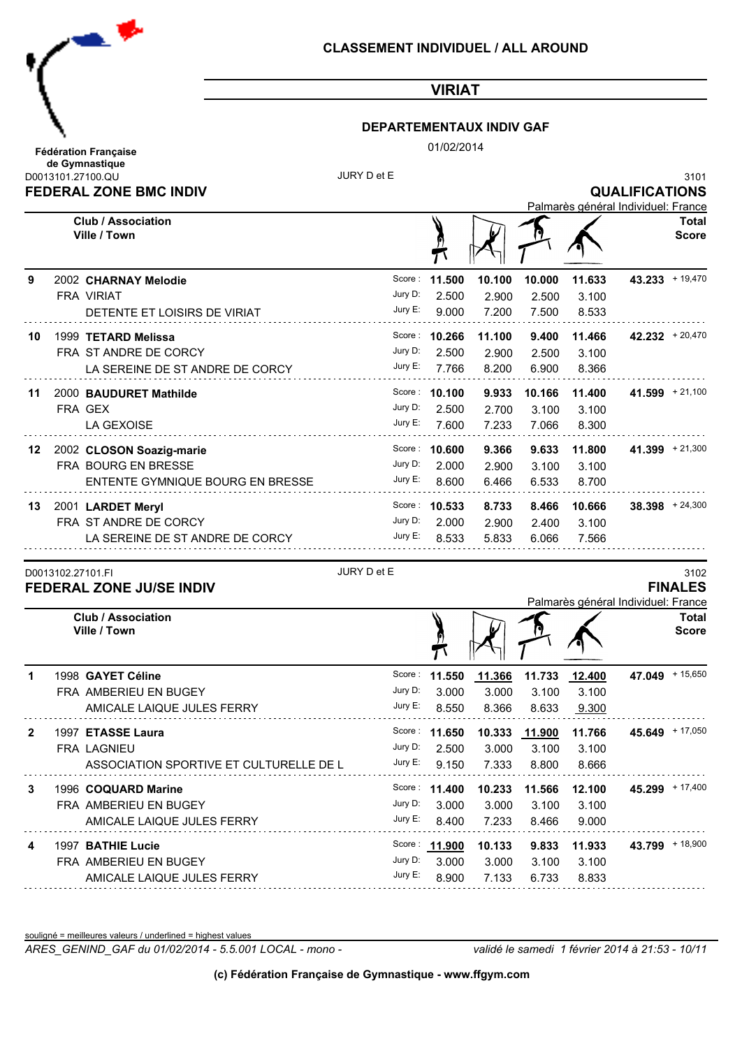

### **DEPARTEMENTAUX INDIV GAF**

01/02/2014

|    | <b>FEDERAL ZONE BMC INDIV</b>                        |             |                |                |                | Palmarès général Individuel: France | <b>QUALIFICATIONS</b> |                              |
|----|------------------------------------------------------|-------------|----------------|----------------|----------------|-------------------------------------|-----------------------|------------------------------|
|    | <b>Club / Association</b><br>Ville / Town            |             |                |                |                |                                     |                       | <b>Total</b><br><b>Score</b> |
| 9  | 2002 CHARNAY Melodie                                 | Score:      | 11.500         | 10.100         | 10.000         | 11.633                              | $43.233 + 19,470$     |                              |
|    | <b>FRA VIRIAT</b>                                    | Jury D:     | 2.500          | 2.900          | 2.500          | 3.100                               |                       |                              |
|    | DETENTE ET LOISIRS DE VIRIAT                         | Jury E:     | 9.000          | 7.200          | 7.500          | 8.533                               |                       |                              |
| 10 | 1999 TETARD Melissa                                  | Score :     | 10.266         | 11.100         | 9.400          | 11.466                              |                       | $42.232 + 20,470$            |
|    | FRA ST ANDRE DE CORCY                                | Jury D:     | 2.500          | 2.900          | 2.500          | 3.100                               |                       |                              |
|    | LA SEREINE DE ST ANDRE DE CORCY                      | Jury E:     | 7.766          | 8.200          | 6.900          | 8.366                               |                       |                              |
| 11 | 2000 BAUDURET Mathilde                               |             | Score: 10.100  | 9.933          | 10.166         | 11.400                              |                       | $41.599 + 21,100$            |
|    | FRA GEX                                              | Jury D:     | 2.500          | 2.700          | 3.100          | 3.100                               |                       |                              |
|    | LA GEXOISE                                           | Jury E:     | 7.600          | 7.233          | 7.066          | 8.300                               |                       |                              |
|    | 2002 CLOSON Soazig-marie                             |             | Score: 10.600  | 9.366          | 9.633          | 11.800                              |                       | $41.399 + 21,300$            |
| 12 | FRA BOURG EN BRESSE                                  | Jury D:     | 2.000          | 2.900          | 3.100          | 3.100                               |                       |                              |
|    | ENTENTE GYMNIQUE BOURG EN BRESSE                     | Jury E:     | 8.600          | 6.466          | 6.533          | 8.700                               |                       |                              |
|    |                                                      |             |                |                |                |                                     |                       |                              |
| 13 | 2001 LARDET Meryl                                    | Jury D:     | Score: 10.533  | 8.733          | 8.466          | 10.666                              |                       | $38.398 + 24,300$            |
|    | FRA ST ANDRE DE CORCY                                | Jury E:     | 2.000<br>8.533 | 2.900<br>5.833 | 2.400<br>6.066 | 3.100<br>7.566                      |                       |                              |
|    | LA SEREINE DE ST ANDRE DE CORCY                      |             |                |                |                |                                     |                       |                              |
|    | D0013102.27101.FI<br><b>FEDERAL ZONE JU/SE INDIV</b> | JURY D et E |                |                |                |                                     |                       | 3102<br><b>FINALES</b>       |
|    |                                                      |             |                |                |                | Palmarès général Individuel: France |                       |                              |
|    | <b>Club / Association</b><br>Ville / Town            |             |                |                |                |                                     |                       | <b>Total</b><br><b>Score</b> |
| 1  | 1998 GAYET Céline                                    | Score:      | 11.550         | 11.366         | 11.733         | 12.400                              | 47.049 + 15,650       |                              |
|    | FRA AMBERIEU EN BUGEY                                | Jury D:     | 3.000          | 3.000          | 3.100          | 3.100                               |                       |                              |
|    | AMICALE LAIQUE JULES FERRY                           | Jury E:     | 8.550          | 8.366          | 8.633          | 9.300                               |                       |                              |
| 2  | 1997 ETASSE Laura                                    |             | Score: 11.650  |                |                | 10.333 11.900 11.766                | 45.649 + 17,050       |                              |
|    | FRA LAGNIEU                                          | Jury D:     | 2.500          | 3.000          | 3.100          | 3.100                               |                       |                              |
|    | ASSOCIATION SPORTIVE ET CULTURELLE DE L              | Jury E:     | 9.150          | 7.333          | 8.800          | 8.666                               |                       |                              |
| 3  | 1996 COQUARD Marine                                  |             | Score: 11.400  | 10.233         | 11.566         | 12.100                              |                       | $45.299$ + 17,400            |
|    | FRA AMBERIEU EN BUGEY                                | Jury D:     | 3.000          | 3.000          | 3.100          | 3.100                               |                       |                              |
|    | AMICALE LAIQUE JULES FERRY                           | Jury E:     | 8.400          | 7.233          | 8.466          | 9.000                               |                       |                              |
| 4  | 1997 BATHIE Lucie                                    |             | Score: 11.900  | 10.133         | 9.833          | 11.933                              |                       | 43.799 + 18,900              |
|    | FRA AMBERIEU EN BUGEY                                |             | Jury D: 3.000  | 3.000          | 3.100          | 3.100                               |                       |                              |

souligné = meilleures valeurs / underlined = highest values

. . . . . . . . . . .

*ARES\_GENIND\_GAF du 01/02/2014 - 5.5.001 LOCAL - mono - validé le samedi 1 février 2014 à 21:53 - 10/11*

AMICALE LAIQUE JULES FERRY JULES AND RESERT AND RESERVE TO A LABOR.

Jury E: 8.900 7.133 6.733 8.833